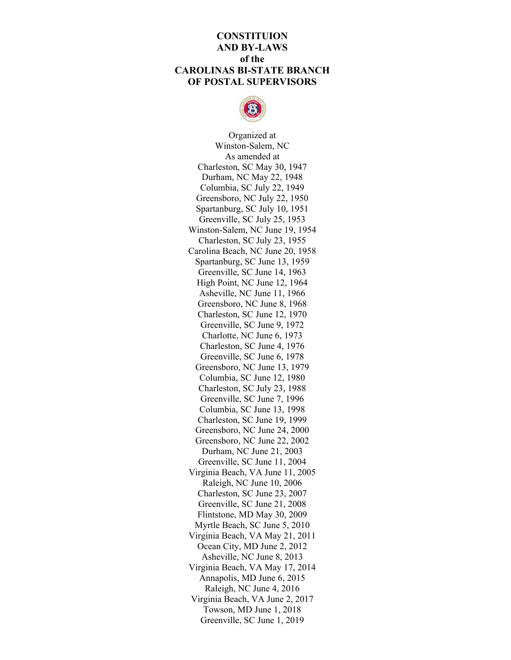## **CONSTITUION AND BY-LAWS of the CAROLINAS BI-STATE BRANCH OF POSTAL SUPERVISORS**



Organized at Winston-Salem, NC As amended at Charleston, SC May 30, 1947 Durham, NC May 22, 1948 Columbia, SC July 22, 1949 Greensboro, NC July 22, 1950 Spartanburg, SC July 10, 1951 Greenville, SC July 25, 1953 Winston-Salem, NC June 19, 1954 Charleston, SC July 23, 1955 Carolina Beach, NC June 20, 1958 Spartanburg, SC June 13, 1959 Greenville, SC June 14, 1963 High Point, NC June 12, 1964 Asheville, NC June 11, 1966 Greensboro, NC June 8, 1968 Charleston, SC June 12, 1970 Greenville, SC June 9, 1972 Charlotte, NC June 6, 1973 Charleston, SC June 4, 1976 Greenville, SC June 6, 1978 Greensboro, NC June 13, 1979 Columbia, SC June 12, 1980 Charleston, SC July 23, 1988 Greenville, SC June 7, 1996 Columbia, SC June 13, 1998 Charleston, SC June 19, 1999 Greensboro, NC June 24, 2000 Greensboro, NC June 22, 2002 Durham, NC June 21, 2003 Greenville, SC June 11, 2004 Virginia Beach, VA June 11, 2005 Raleigh, NC June 10, 2006 Charleston, SC June 23, 2007 Greenville, SC June 21, 2008 Flintstone, MD May 30, 2009 Myrtle Beach, SC June 5, 2010 Virginia Beach, VA May 21, 2011 Ocean City, MD June 2, 2012 Asheville, NC June 8, 2013 Virginia Beach, VA May 17, 2014 Annapolis, MD June 6, 2015 Raleigh, NC June 4, 2016 Virginia Beach, VA June 2, 2017 Towson, MD June 1, 2018 Greenville, SC June 1, 2019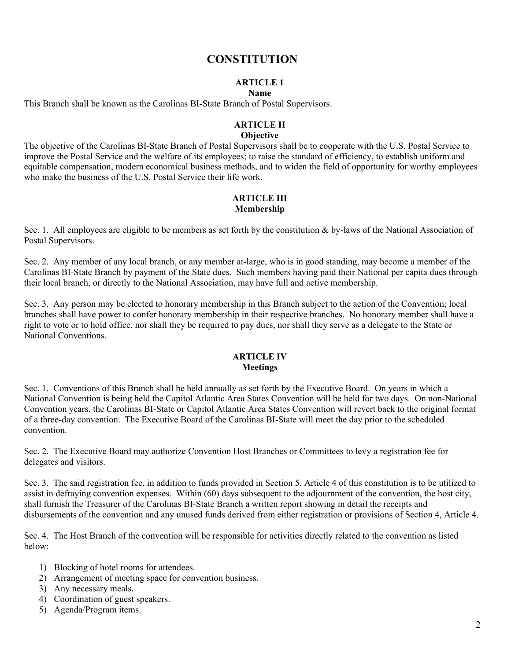# **CONSTITUTION**

# **ARTICLE 1**

## **Name**

This Branch shall be known as the Carolinas BI-State Branch of Postal Supervisors.

## **ARTICLE II**

### **Objective**

The objective of the Carolinas BI-State Branch of Postal Supervisors shall be to cooperate with the U.S. Postal Service to improve the Postal Service and the welfare of its employees; to raise the standard of efficiency, to establish uniform and equitable compensation, modern economical business methods, and to widen the field of opportunity for worthy employees who make the business of the U.S. Postal Service their life work.

### **ARTICLE III Membership**

Sec. 1. All employees are eligible to be members as set forth by the constitution  $\&$  by-laws of the National Association of Postal Supervisors.

Sec. 2. Any member of any local branch, or any member at-large, who is in good standing, may become a member of the Carolinas BI-State Branch by payment of the State dues. Such members having paid their National per capita dues through their local branch, or directly to the National Association, may have full and active membership.

Sec. 3. Any person may be elected to honorary membership in this Branch subject to the action of the Convention; local branches shall have power to confer honorary membership in their respective branches. No honorary member shall have a right to vote or to hold office, nor shall they be required to pay dues, nor shall they serve as a delegate to the State or National Conventions.

## **ARTICLE IV Meetings**

Sec. 1. Conventions of this Branch shall be held annually as set forth by the Executive Board. On years in which a National Convention is being held the Capitol Atlantic Area States Convention will be held for two days. On non-National Convention years, the Carolinas BI-State or Capitol Atlantic Area States Convention will revert back to the original format of a three-day convention. The Executive Board of the Carolinas BI-State will meet the day prior to the scheduled convention.

Sec. 2. The Executive Board may authorize Convention Host Branches or Committees to levy a registration fee for delegates and visitors.

Sec. 3. The said registration fee, in addition to funds provided in Section 5, Article 4 of this constitution is to be utilized to assist in defraying convention expenses. Within (60) days subsequent to the adjournment of the convention, the host city, shall furnish the Treasurer of the Carolinas BI-State Branch a written report showing in detail the receipts and disbursements of the convention and any unused funds derived from either registration or provisions of Section 4, Article 4.

Sec. 4. The Host Branch of the convention will be responsible for activities directly related to the convention as listed below:

- 1) Blocking of hotel rooms for attendees.
- 2) Arrangement of meeting space for convention business.
- 3) Any necessary meals.
- 4) Coordination of guest speakers.
- 5) Agenda/Program items.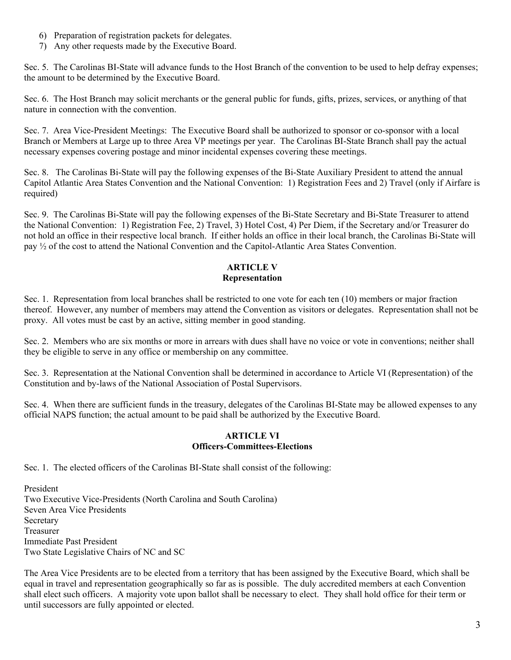- 6) Preparation of registration packets for delegates.
- 7) Any other requests made by the Executive Board.

Sec. 5. The Carolinas BI-State will advance funds to the Host Branch of the convention to be used to help defray expenses; the amount to be determined by the Executive Board.

Sec. 6. The Host Branch may solicit merchants or the general public for funds, gifts, prizes, services, or anything of that nature in connection with the convention.

Sec. 7. Area Vice-President Meetings: The Executive Board shall be authorized to sponsor or co-sponsor with a local Branch or Members at Large up to three Area VP meetings per year. The Carolinas BI-State Branch shall pay the actual necessary expenses covering postage and minor incidental expenses covering these meetings.

Sec. 8. The Carolinas Bi-State will pay the following expenses of the Bi-State Auxiliary President to attend the annual Capitol Atlantic Area States Convention and the National Convention: 1) Registration Fees and 2) Travel (only if Airfare is required)

Sec. 9. The Carolinas Bi-State will pay the following expenses of the Bi-State Secretary and Bi-State Treasurer to attend the National Convention: 1) Registration Fee, 2) Travel, 3) Hotel Cost, 4) Per Diem, if the Secretary and/or Treasurer do not hold an office in their respective local branch. If either holds an office in their local branch, the Carolinas Bi-State will pay ½ of the cost to attend the National Convention and the Capitol-Atlantic Area States Convention.

## **ARTICLE V Representation**

Sec. 1. Representation from local branches shall be restricted to one vote for each ten (10) members or major fraction thereof. However, any number of members may attend the Convention as visitors or delegates. Representation shall not be proxy. All votes must be cast by an active, sitting member in good standing.

Sec. 2. Members who are six months or more in arrears with dues shall have no voice or vote in conventions; neither shall they be eligible to serve in any office or membership on any committee.

Sec. 3. Representation at the National Convention shall be determined in accordance to Article VI (Representation) of the Constitution and by-laws of the National Association of Postal Supervisors.

Sec. 4. When there are sufficient funds in the treasury, delegates of the Carolinas BI-State may be allowed expenses to any official NAPS function; the actual amount to be paid shall be authorized by the Executive Board.

## **ARTICLE VI Officers-Committees-Elections**

Sec. 1. The elected officers of the Carolinas BI-State shall consist of the following:

President Two Executive Vice-Presidents (North Carolina and South Carolina) Seven Area Vice Presidents Secretary Treasurer Immediate Past President Two State Legislative Chairs of NC and SC

The Area Vice Presidents are to be elected from a territory that has been assigned by the Executive Board, which shall be equal in travel and representation geographically so far as is possible. The duly accredited members at each Convention shall elect such officers. A majority vote upon ballot shall be necessary to elect. They shall hold office for their term or until successors are fully appointed or elected.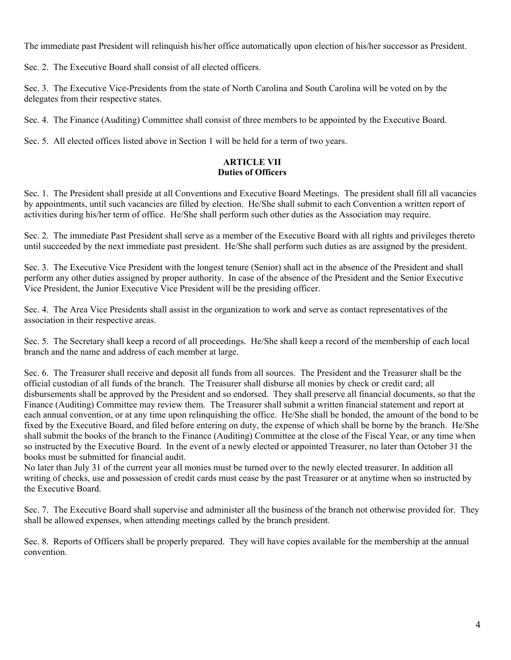The immediate past President will relinquish his/her office automatically upon election of his/her successor as President.

Sec. 2. The Executive Board shall consist of all elected officers.

Sec. 3. The Executive Vice-Presidents from the state of North Carolina and South Carolina will be voted on by the delegates from their respective states.

Sec. 4. The Finance (Auditing) Committee shall consist of three members to be appointed by the Executive Board.

Sec. 5. All elected offices listed above in Section 1 will be held for a term of two years.

## **ARTICLE VII Duties of Officers**

Sec. 1. The President shall preside at all Conventions and Executive Board Meetings. The president shall fill all vacancies by appointments, until such vacancies are filled by election. He/She shall submit to each Convention a written report of activities during his/her term of office. He/She shall perform such other duties as the Association may require.

Sec. 2. The immediate Past President shall serve as a member of the Executive Board with all rights and privileges thereto until succeeded by the next immediate past president. He/She shall perform such duties as are assigned by the president.

Sec. 3. The Executive Vice President with the longest tenure (Senior) shall act in the absence of the President and shall perform any other duties assigned by proper authority. In case of the absence of the President and the Senior Executive Vice President, the Junior Executive Vice President will be the presiding officer.

Sec. 4. The Area Vice Presidents shall assist in the organization to work and serve as contact representatives of the association in their respective areas.

Sec. 5. The Secretary shall keep a record of all proceedings. He/She shall keep a record of the membership of each local branch and the name and address of each member at large.

Sec. 6. The Treasurer shall receive and deposit all funds from all sources. The President and the Treasurer shall be the official custodian of all funds of the branch. The Treasurer shall disburse all monies by check or credit card; all disbursements shall be approved by the President and so endorsed. They shall preserve all financial documents, so that the Finance (Auditing) Committee may review them. The Treasurer shall submit a written financial statement and report at each annual convention, or at any time upon relinquishing the office. He/She shall be bonded, the amount of the bond to be fixed by the Executive Board, and filed before entering on duty, the expense of which shall be borne by the branch. He/She shall submit the books of the branch to the Finance (Auditing) Committee at the close of the Fiscal Year, or any time when so instructed by the Executive Board. In the event of a newly elected or appointed Treasurer, no later than October 31 the books must be submitted for financial audit.

No later than July 31 of the current year all monies must be turned over to the newly elected treasurer. In addition all writing of checks, use and possession of credit cards must cease by the past Treasurer or at anytime when so instructed by the Executive Board.

Sec. 7. The Executive Board shall supervise and administer all the business of the branch not otherwise provided for. They shall be allowed expenses, when attending meetings called by the branch president.

Sec. 8. Reports of Officers shall be properly prepared. They will have copies available for the membership at the annual convention.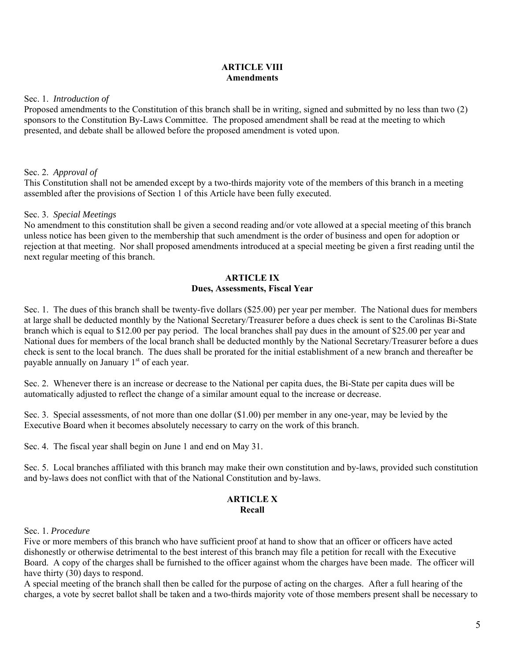## **ARTICLE VIII Amendments**

Sec. 1. *Introduction of*

Proposed amendments to the Constitution of this branch shall be in writing, signed and submitted by no less than two (2) sponsors to the Constitution By-Laws Committee. The proposed amendment shall be read at the meeting to which presented, and debate shall be allowed before the proposed amendment is voted upon.

## Sec. 2. *Approval of*

This Constitution shall not be amended except by a two-thirds majority vote of the members of this branch in a meeting assembled after the provisions of Section 1 of this Article have been fully executed.

## Sec. 3. *Special Meetings*

No amendment to this constitution shall be given a second reading and/or vote allowed at a special meeting of this branch unless notice has been given to the membership that such amendment is the order of business and open for adoption or rejection at that meeting. Nor shall proposed amendments introduced at a special meeting be given a first reading until the next regular meeting of this branch.

### **ARTICLE IX Dues, Assessments, Fiscal Year**

Sec. 1. The dues of this branch shall be twenty-five dollars (\$25.00) per year per member. The National dues for members at large shall be deducted monthly by the National Secretary/Treasurer before a dues check is sent to the Carolinas Bi-State branch which is equal to \$12.00 per pay period. The local branches shall pay dues in the amount of \$25.00 per year and National dues for members of the local branch shall be deducted monthly by the National Secretary/Treasurer before a dues check is sent to the local branch. The dues shall be prorated for the initial establishment of a new branch and thereafter be payable annually on January  $1<sup>st</sup>$  of each year.

Sec. 2. Whenever there is an increase or decrease to the National per capita dues, the Bi-State per capita dues will be automatically adjusted to reflect the change of a similar amount equal to the increase or decrease.

Sec. 3. Special assessments, of not more than one dollar (\$1.00) per member in any one-year, may be levied by the Executive Board when it becomes absolutely necessary to carry on the work of this branch.

Sec. 4. The fiscal year shall begin on June 1 and end on May 31.

Sec. 5. Local branches affiliated with this branch may make their own constitution and by-laws, provided such constitution and by-laws does not conflict with that of the National Constitution and by-laws.

#### **ARTICLE X Recall**

#### Sec. 1. *Procedure*

Five or more members of this branch who have sufficient proof at hand to show that an officer or officers have acted dishonestly or otherwise detrimental to the best interest of this branch may file a petition for recall with the Executive Board. A copy of the charges shall be furnished to the officer against whom the charges have been made. The officer will have thirty (30) days to respond.

A special meeting of the branch shall then be called for the purpose of acting on the charges. After a full hearing of the charges, a vote by secret ballot shall be taken and a two-thirds majority vote of those members present shall be necessary to